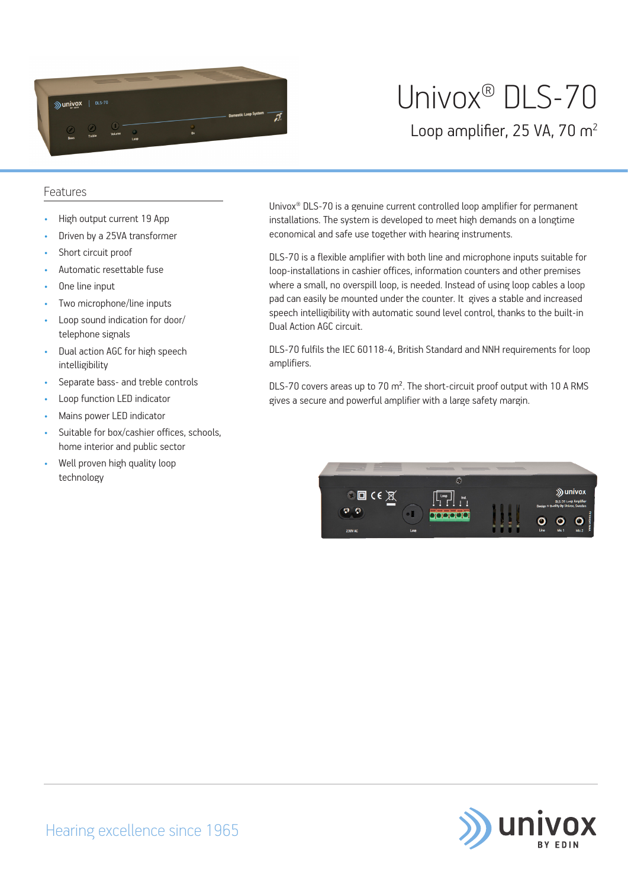

# Univox® DLS-70

Loop amplifier, 25 VA, 70 m<sup>2</sup>

### Features

- High output current 19 App
- Driven by a 25VA transformer
- Short circuit proof
- Automatic resettable fuse
- One line input
- Two microphone/line inputs
- Loop sound indication for door/ telephone signals
- Dual action AGC for high speech intelligibility
- Separate bass- and treble controls
- Loop function LED indicator
- Mains power LED indicator
- Suitable for box/cashier offices, schools, home interior and public sector
- Well proven high quality loop technology

Univox® DLS-70 is a genuine current controlled loop amplifier for permanent installations. The system is developed to meet high demands on a longtime economical and safe use together with hearing instruments.

DLS-70 is a flexible amplifier with both line and microphone inputs suitable for loop-installations in cashier offices, information counters and other premises where a small, no overspill loop, is needed. Instead of using loop cables a loop pad can easily be mounted under the counter. It gives a stable and increased speech intelligibility with automatic sound level control, thanks to the built-in Dual Action AGC circuit.

DLS-70 fulfils the IEC 60118-4, British Standard and NNH requirements for loop amplifiers.

DLS-70 covers areas up to 70 m². The short-circuit proof output with 10 A RMS gives a secure and powerful amplifier with a large safety margin.